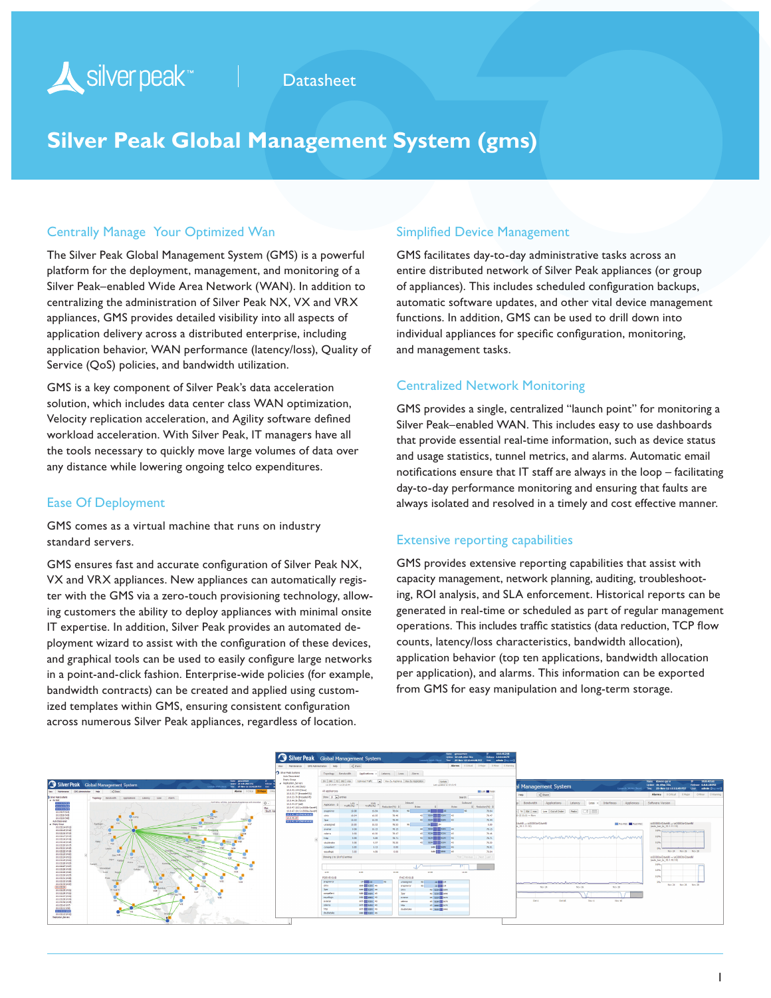# Silver peak<sup>\*</sup>

## **Datasheet**

# **Silver Peak Global Management System (gms)**

#### Centrally Manage Your Optimized Wan

The Silver Peak Global Management System (GMS) is a powerful platform for the deployment, management, and monitoring of a Silver Peak–enabled Wide Area Network (WAN). In addition to centralizing the administration of Silver Peak NX, VX and VRX appliances, GMS provides detailed visibility into all aspects of application delivery across a distributed enterprise, including application behavior, WAN performance (latency/loss), Quality of Service (QoS) policies, and bandwidth utilization.

GMS is a key component of Silver Peak's data acceleration solution, which includes data center class WAN optimization, Velocity replication acceleration, and Agility software defined workload acceleration. With Silver Peak, IT managers have all the tools necessary to quickly move large volumes of data over any distance while lowering ongoing telco expenditures.

#### Ease Of Deployment

GMS comes as a virtual machine that runs on industry standard servers.

GMS ensures fast and accurate configuration of Silver Peak NX, VX and VRX appliances. New appliances can automatically register with the GMS via a zero-touch provisioning technology, allowing customers the ability to deploy appliances with minimal onsite IT expertise. In addition, Silver Peak provides an automated deployment wizard to assist with the configuration of these devices, and graphical tools can be used to easily configure large networks in a point-and-click fashion. Enterprise-wide policies (for example, bandwidth contracts) can be created and applied using customized templates within GMS, ensuring consistent configuration across numerous Silver Peak appliances, regardless of location.

#### Simplified Device Management

GMS facilitates day-to-day administrative tasks across an entire distributed network of Silver Peak appliances (or group of appliances). This includes scheduled configuration backups, automatic software updates, and other vital device management functions. In addition, GMS can be used to drill down into individual appliances for specific configuration, monitoring, and management tasks.

#### Centralized Network Monitoring

GMS provides a single, centralized "launch point" for monitoring a Silver Peak–enabled WAN. This includes easy to use dashboards that provide essential real-time information, such as device status and usage statistics, tunnel metrics, and alarms. Automatic email notifications ensure that IT staff are always in the loop – facilitating day-to-day performance monitoring and ensuring that faults are always isolated and resolved in a timely and cost effective manner.

#### Extensive reporting capabilities

GMS provides extensive reporting capabilities that assist with capacity management, network planning, auditing, troubleshooting, ROI analysis, and SLA enforcement. Historical reports can be generated in real-time or scheduled as part of regular management operations. This includes traffic statistics (data reduction, TCP flow counts, latency/loss characteristics, bandwidth allocation), application behavior (top ten applications, bandwidth allocation per application), and alarms. This information can be exported from GMS for easy manipulation and long-term storage.